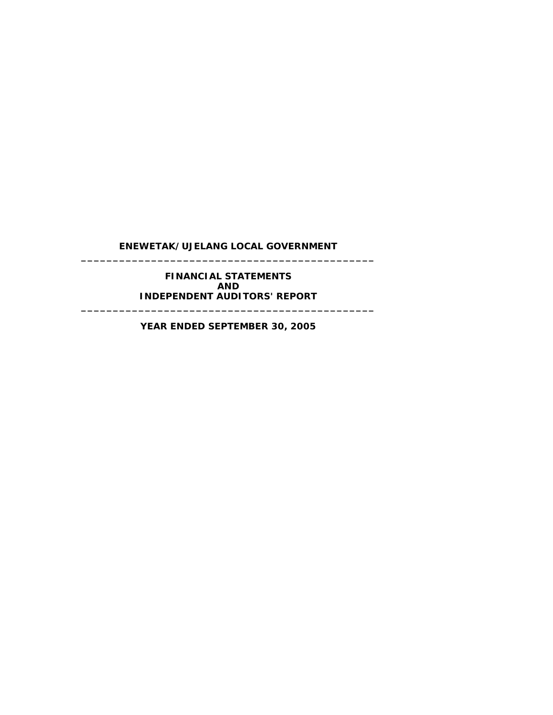#### **ENEWETAK/UJELANG LOCAL GOVERNMENT \_\_\_\_\_\_\_\_\_\_\_\_\_\_\_\_\_\_\_\_\_\_\_\_\_\_\_\_\_\_\_\_\_\_\_\_\_\_\_\_\_\_\_\_\_\_**

**FINANCIAL STATEMENTS AND INDEPENDENT AUDITORS' REPORT**

**YEAR ENDED SEPTEMBER 30, 2005**

**\_\_\_\_\_\_\_\_\_\_\_\_\_\_\_\_\_\_\_\_\_\_\_\_\_\_\_\_\_\_\_\_\_\_\_\_\_\_\_\_\_\_\_\_\_\_**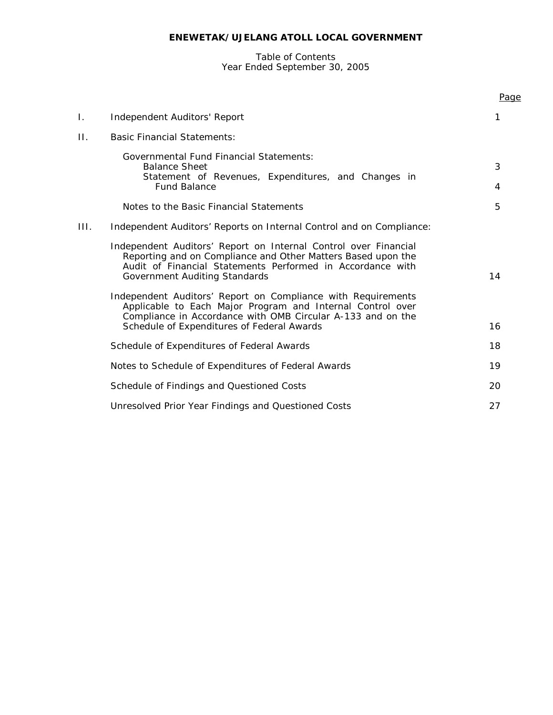#### Table of Contents Year Ended September 30, 2005

|      |                                                                                                                                                                                                                                         | Page |
|------|-----------------------------------------------------------------------------------------------------------------------------------------------------------------------------------------------------------------------------------------|------|
| Τ.   | Independent Auditors' Report                                                                                                                                                                                                            | 1    |
| П.   | <b>Basic Financial Statements:</b>                                                                                                                                                                                                      |      |
|      | <b>Governmental Fund Financial Statements:</b><br><b>Balance Sheet</b><br>Statement of Revenues, Expenditures, and Changes in                                                                                                           | 3    |
|      | <b>Fund Balance</b>                                                                                                                                                                                                                     | 4    |
|      | Notes to the Basic Financial Statements                                                                                                                                                                                                 | 5    |
| III. | Independent Auditors' Reports on Internal Control and on Compliance:                                                                                                                                                                    |      |
|      | Independent Auditors' Report on Internal Control over Financial<br>Reporting and on Compliance and Other Matters Based upon the<br>Audit of Financial Statements Performed in Accordance with<br>Government Auditing Standards          | 14   |
|      | Independent Auditors' Report on Compliance with Requirements<br>Applicable to Each Major Program and Internal Control over<br>Compliance in Accordance with OMB Circular A-133 and on the<br>Schedule of Expenditures of Federal Awards | 16   |
|      | Schedule of Expenditures of Federal Awards                                                                                                                                                                                              | 18   |
|      | Notes to Schedule of Expenditures of Federal Awards                                                                                                                                                                                     | 19   |
|      | Schedule of Findings and Questioned Costs                                                                                                                                                                                               | 20   |
|      | Unresolved Prior Year Findings and Questioned Costs                                                                                                                                                                                     | 27   |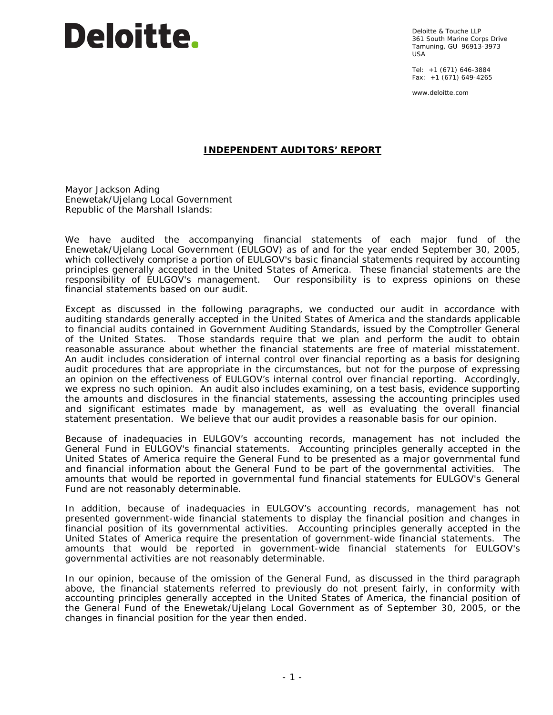# **Deloitte.**

Deloitte & Touche LLP 361 South Marine Corps Drive Tamuning, GU 96913-3973 USA

Tel: +1 (671) 646-3884 Fax: +1 (671) 649-4265

www.deloitte.com

# **INDEPENDENT AUDITORS' REPORT**

Mayor Jackson Ading Enewetak/Ujelang Local Government Republic of the Marshall Islands:

We have audited the accompanying financial statements of each major fund of the Enewetak/Ujelang Local Government (EULGOV) as of and for the year ended September 30, 2005, which collectively comprise a portion of EULGOV's basic financial statements required by accounting principles generally accepted in the United States of America. These financial statements are the responsibility of EULGOV's management. Our responsibility is to express opinions on these financial statements based on our audit.

Except as discussed in the following paragraphs, we conducted our audit in accordance with auditing standards generally accepted in the United States of America and the standards applicable to financial audits contained in *Government Auditing Standards*, issued by the Comptroller General Those standards require that we plan and perform the audit to obtain reasonable assurance about whether the financial statements are free of material misstatement. An audit includes consideration of internal control over financial reporting as a basis for designing audit procedures that are appropriate in the circumstances, but not for the purpose of expressing an opinion on the effectiveness of EULGOV's internal control over financial reporting. Accordingly, we express no such opinion. An audit also includes examining, on a test basis, evidence supporting the amounts and disclosures in the financial statements, assessing the accounting principles used and significant estimates made by management, as well as evaluating the overall financial statement presentation. We believe that our audit provides a reasonable basis for our opinion.

Because of inadequacies in EULGOV's accounting records, management has not included the General Fund in EULGOV's financial statements. Accounting principles generally accepted in the United States of America require the General Fund to be presented as a major governmental fund and financial information about the General Fund to be part of the governmental activities. The amounts that would be reported in governmental fund financial statements for EULGOV's General Fund are not reasonably determinable.

In addition, because of inadequacies in EULGOV's accounting records, management has not presented government-wide financial statements to display the financial position and changes in financial position of its governmental activities. Accounting principles generally accepted in the United States of America require the presentation of government-wide financial statements. The amounts that would be reported in government-wide financial statements for EULGOV's governmental activities are not reasonably determinable.

In our opinion, because of the omission of the General Fund, as discussed in the third paragraph above, the financial statements referred to previously do not present fairly, in conformity with accounting principles generally accepted in the United States of America, the financial position of the General Fund of the Enewetak/Ujelang Local Government as of September 30, 2005, or the changes in financial position for the year then ended.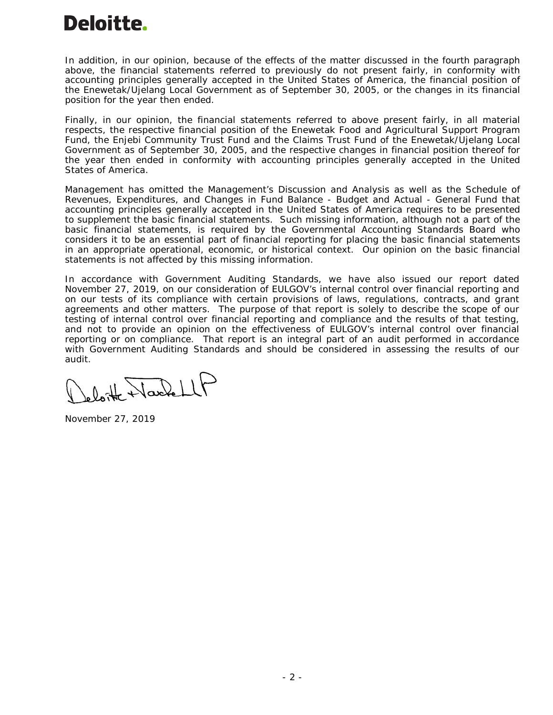# Deloitte.

In addition, in our opinion, because of the effects of the matter discussed in the fourth paragraph above, the financial statements referred to previously do not present fairly, in conformity with accounting principles generally accepted in the United States of America, the financial position of the Enewetak/Ujelang Local Government as of September 30, 2005, or the changes in its financial position for the year then ended.

Finally, in our opinion, the financial statements referred to above present fairly, in all material respects, the respective financial position of the Enewetak Food and Agricultural Support Program Fund, the Enjebi Community Trust Fund and the Claims Trust Fund of the Enewetak/Ujelang Local Government as of September 30, 2005, and the respective changes in financial position thereof for the year then ended in conformity with accounting principles generally accepted in the United States of America.

Management has omitted the Management's Discussion and Analysis as well as the Schedule of Revenues, Expenditures, and Changes in Fund Balance - Budget and Actual - General Fund that accounting principles generally accepted in the United States of America requires to be presented to supplement the basic financial statements. Such missing information, although not a part of the basic financial statements, is required by the Governmental Accounting Standards Board who considers it to be an essential part of financial reporting for placing the basic financial statements in an appropriate operational, economic, or historical context. Our opinion on the basic financial statements is not affected by this missing information.

In accordance with *Government Auditing Standards*, we have also issued our report dated November 27, 2019, on our consideration of EULGOV's internal control over financial reporting and on our tests of its compliance with certain provisions of laws, regulations, contracts, and grant agreements and other matters. The purpose of that report is solely to describe the scope of our testing of internal control over financial reporting and compliance and the results of that testing, and not to provide an opinion on the effectiveness of EULGOV's internal control over financial reporting or on compliance. That report is an integral part of an audit performed in accordance with *Government Auditing Standards* and should be considered in assessing the results of our audit.

loite Wackell

November 27, 2019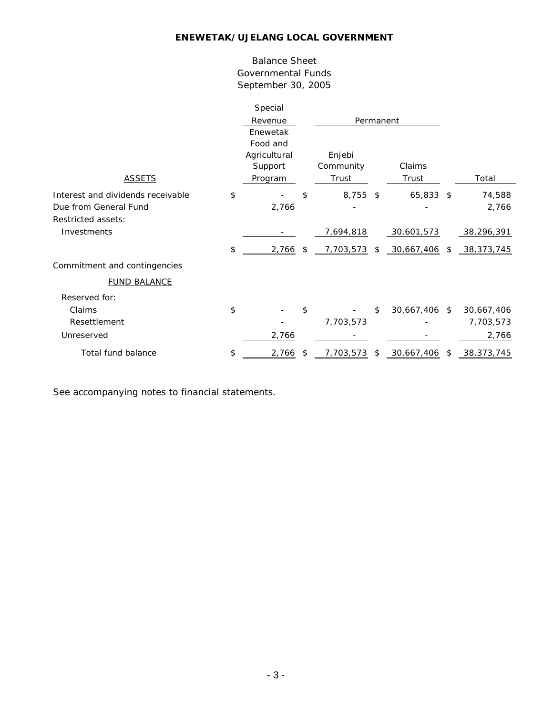# Balance Sheet Governmental Funds September 30, 2005

|                                   | Special      |                 |     |               |                    |
|-----------------------------------|--------------|-----------------|-----|---------------|--------------------|
|                                   | Revenue      | Permanent       |     |               |                    |
|                                   | Enewetak     |                 |     |               |                    |
|                                   | Food and     |                 |     |               |                    |
|                                   | Agricultural | Enjebi          |     |               |                    |
|                                   | Support      | Community       |     | Claims        |                    |
| <b>ASSETS</b>                     | Program      | Trust           |     | Trust         | Total              |
| Interest and dividends receivable | \$           | \$<br>8,755     | -\$ | 65,833        | \$<br>74,588       |
| Due from General Fund             | 2,766        |                 |     |               | 2,766              |
| Restricted assets:                |              |                 |     |               |                    |
| Investments                       |              | 7,694,818       |     | 30,601,573    | 38,296,391         |
|                                   | \$<br>2,766  | \$<br>7,703,573 | \$  | 30,667,406 \$ | 38, 373, 745       |
| Commitment and contingencies      |              |                 |     |               |                    |
| <b>FUND BALANCE</b>               |              |                 |     |               |                    |
| Reserved for:                     |              |                 |     |               |                    |
| Claims                            | \$           | \$              | \$  | 30,667,406 \$ | 30,667,406         |
| Resettlement                      |              | 7,703,573       |     |               | 7,703,573          |
| Unreserved                        | 2,766        |                 |     |               | 2,766              |
| Total fund balance                | \$<br>2,766  | \$<br>7,703,573 | \$  | 30,667,406    | \$<br>38, 373, 745 |

See accompanying notes to financial statements.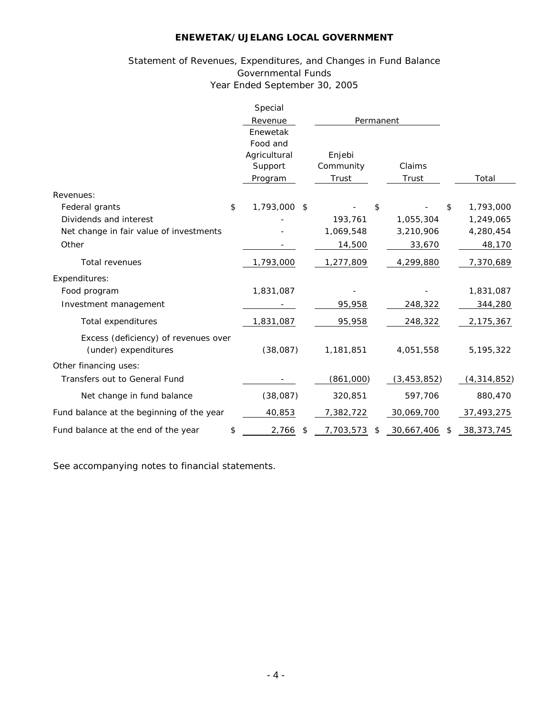# Statement of Revenues, Expenditures, and Changes in Fund Balance Year Ended September 30, 2005 Governmental Funds

|                                           | Special      |           |                  |                    |
|-------------------------------------------|--------------|-----------|------------------|--------------------|
|                                           | Revenue      |           | Permanent        |                    |
|                                           | Enewetak     |           |                  |                    |
|                                           | Food and     |           |                  |                    |
|                                           | Agricultural | Enjebi    |                  |                    |
|                                           | Support      | Community | Claims           |                    |
|                                           | Program      | Trust     | Trust            | Total              |
| Revenues:                                 |              |           |                  |                    |
| \$<br>Federal grants                      | 1,793,000 \$ |           | \$               | \$<br>1,793,000    |
| Dividends and interest                    |              | 193,761   | 1,055,304        | 1,249,065          |
| Net change in fair value of investments   |              | 1,069,548 | 3,210,906        | 4,280,454          |
| Other                                     |              | 14,500    | 33,670           | 48,170             |
| <b>Total revenues</b>                     | 1,793,000    | 1,277,809 | 4,299,880        | 7,370,689          |
| Expenditures:                             |              |           |                  |                    |
| Food program                              | 1,831,087    |           |                  | 1,831,087          |
| Investment management                     |              | 95,958    | 248,322          | 344,280            |
| <b>Total expenditures</b>                 | 1,831,087    | 95,958    | 248,322          | 2,175,367          |
| Excess (deficiency) of revenues over      |              |           |                  |                    |
| (under) expenditures                      | (38,087)     | 1,181,851 | 4,051,558        | 5,195,322          |
| Other financing uses:                     |              |           |                  |                    |
| Transfers out to General Fund             |              | (861,000) | (3, 453, 852)    | (4, 314, 852)      |
| Net change in fund balance                | (38,087)     | 320,851   | 597,706          | 880,470            |
| Fund balance at the beginning of the year | 40,853       | 7,382,722 | 30,069,700       | 37,493,275         |
| \$<br>Fund balance at the end of the year | 2,766<br>\$  | 7,703,573 | 30,667,406<br>\$ | \$<br>38, 373, 745 |

See accompanying notes to financial statements.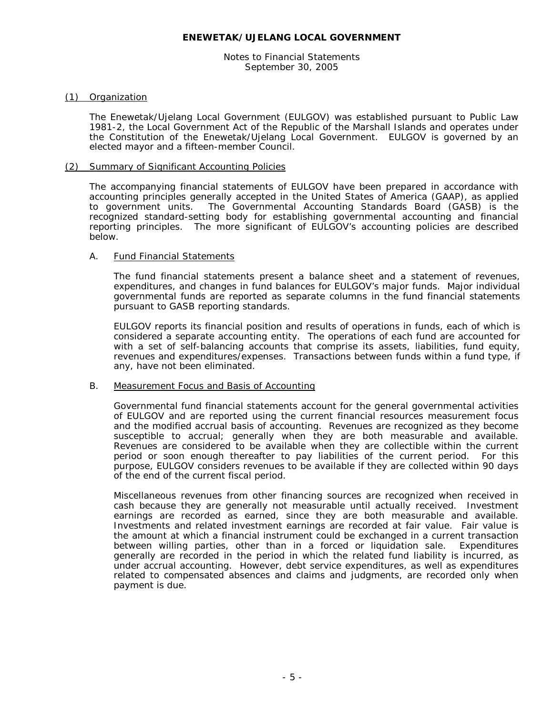Notes to Financial Statements September 30, 2005

# (1) Organization

The Enewetak/Ujelang Local Government (EULGOV) was established pursuant to Public Law 1981-2, the Local Government Act of the Republic of the Marshall Islands and operates under the Constitution of the Enewetak/Ujelang Local Government. EULGOV is governed by an elected mayor and a fifteen-member Council.

# (2) Summary of Significant Accounting Policies

The accompanying financial statements of EULGOV have been prepared in accordance with accounting principles generally accepted in the United States of America (GAAP), as applied to government units. The Governmental Accounting Standards Board (GASB) is the recognized standard-setting body for establishing governmental accounting and financial reporting principles. The more significant of EULGOV's accounting policies are described below.

# A. Fund Financial Statements

The fund financial statements present a balance sheet and a statement of revenues, expenditures, and changes in fund balances for EULGOV's major funds. Major individual governmental funds are reported as separate columns in the fund financial statements pursuant to GASB reporting standards.

EULGOV reports its financial position and results of operations in funds, each of which is considered a separate accounting entity. The operations of each fund are accounted for with a set of self-balancing accounts that comprise its assets, liabilities, fund equity, revenues and expenditures/expenses. Transactions between funds within a fund type, if any, have not been eliminated.

# B. Measurement Focus and Basis of Accounting

Governmental fund financial statements account for the general governmental activities of EULGOV and are reported using the current financial resources measurement focus and the modified accrual basis of accounting. Revenues are recognized as they become susceptible to accrual; generally when they are both measurable and available. Revenues are considered to be available when they are collectible within the current period or soon enough thereafter to pay liabilities of the current period. For this purpose, EULGOV considers revenues to be available if they are collected within 90 days of the end of the current fiscal period.

Miscellaneous revenues from other financing sources are recognized when received in cash because they are generally not measurable until actually received. Investment earnings are recorded as earned, since they are both measurable and available. Investments and related investment earnings are recorded at fair value. Fair value is the amount at which a financial instrument could be exchanged in a current transaction between willing parties, other than in a forced or liquidation sale. Expenditures generally are recorded in the period in which the related fund liability is incurred, as under accrual accounting. However, debt service expenditures, as well as expenditures related to compensated absences and claims and judgments, are recorded only when payment is due.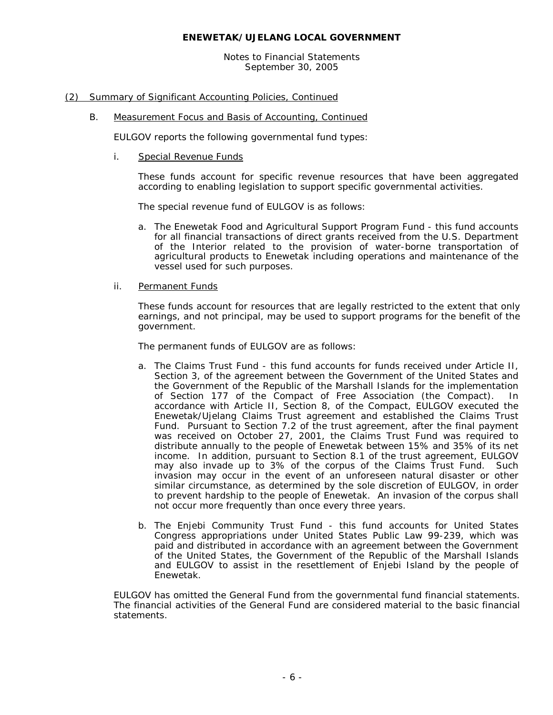Notes to Financial Statements September 30, 2005

# (2) Summary of Significant Accounting Policies, Continued

B. Measurement Focus and Basis of Accounting, Continued

EULGOV reports the following governmental fund types:

i. Special Revenue Funds

These funds account for specific revenue resources that have been aggregated according to enabling legislation to support specific governmental activities.

The special revenue fund of EULGOV is as follows:

a. The Enewetak Food and Agricultural Support Program Fund - this fund accounts for all financial transactions of direct grants received from the U.S. Department of the Interior related to the provision of water-borne transportation of agricultural products to Enewetak including operations and maintenance of the vessel used for such purposes.

#### ii. Permanent Funds

These funds account for resources that are legally restricted to the extent that only earnings, and not principal, may be used to support programs for the benefit of the government.

The permanent funds of EULGOV are as follows:

- a. The Claims Trust Fund this fund accounts for funds received under Article II, Section 3, of the agreement between the Government of the United States and the Government of the Republic of the Marshall Islands for the implementation of Section 177 of the Compact of Free Association (the Compact). In accordance with Article II, Section 8, of the Compact, EULGOV executed the Enewetak/Ujelang Claims Trust agreement and established the Claims Trust Fund. Pursuant to Section 7.2 of the trust agreement, after the final payment was received on October 27, 2001, the Claims Trust Fund was required to distribute annually to the people of Enewetak between 15% and 35% of its net income. In addition, pursuant to Section 8.1 of the trust agreement, EULGOV may also invade up to 3% of the corpus of the Claims Trust Fund. Such invasion may occur in the event of an unforeseen natural disaster or other similar circumstance, as determined by the sole discretion of EULGOV, in order to prevent hardship to the people of Enewetak. An invasion of the corpus shall not occur more frequently than once every three years.
- b. The Enjebi Community Trust Fund this fund accounts for United States Congress appropriations under United States Public Law 99-239, which was paid and distributed in accordance with an agreement between the Government of the United States, the Government of the Republic of the Marshall Islands and EULGOV to assist in the resettlement of Enjebi Island by the people of Enewetak.

EULGOV has omitted the General Fund from the governmental fund financial statements. The financial activities of the General Fund are considered material to the basic financial statements.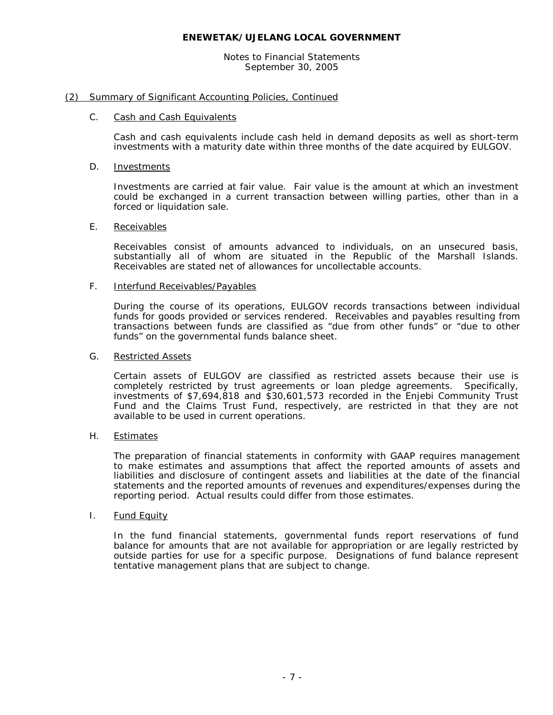Notes to Financial Statements September 30, 2005

# (2) Summary of Significant Accounting Policies, Continued

#### C. Cash and Cash Equivalents

Cash and cash equivalents include cash held in demand deposits as well as short-term investments with a maturity date within three months of the date acquired by EULGOV.

#### D. Investments

Investments are carried at fair value. Fair value is the amount at which an investment could be exchanged in a current transaction between willing parties, other than in a forced or liquidation sale.

#### E. Receivables

Receivables consist of amounts advanced to individuals, on an unsecured basis, substantially all of whom are situated in the Republic of the Marshall Islands. Receivables are stated net of allowances for uncollectable accounts.

#### F. Interfund Receivables/Payables

During the course of its operations, EULGOV records transactions between individual funds for goods provided or services rendered. Receivables and payables resulting from transactions between funds are classified as "due from other funds" or "due to other funds" on the governmental funds balance sheet.

#### G. Restricted Assets

Certain assets of EULGOV are classified as restricted assets because their use is completely restricted by trust agreements or loan pledge agreements. Specifically, investments of \$7,694,818 and \$30,601,573 recorded in the Enjebi Community Trust Fund and the Claims Trust Fund, respectively, are restricted in that they are not available to be used in current operations.

# H. Estimates

The preparation of financial statements in conformity with GAAP requires management to make estimates and assumptions that affect the reported amounts of assets and liabilities and disclosure of contingent assets and liabilities at the date of the financial statements and the reported amounts of revenues and expenditures/expenses during the reporting period. Actual results could differ from those estimates.

#### I. Fund Equity

In the fund financial statements, governmental funds report reservations of fund balance for amounts that are not available for appropriation or are legally restricted by outside parties for use for a specific purpose. Designations of fund balance represent tentative management plans that are subject to change.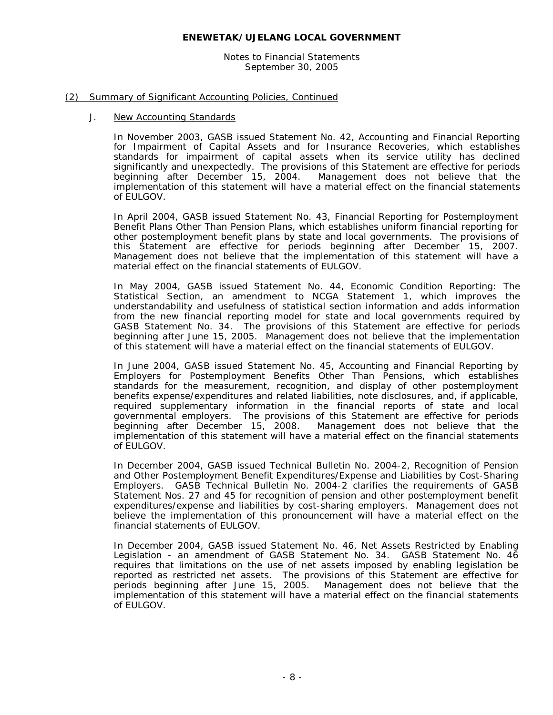Notes to Financial Statements September 30, 2005

#### (2) Summary of Significant Accounting Policies, Continued

#### J. New Accounting Standards

In November 2003, GASB issued Statement No. 42, *Accounting and Financial Reporting for Impairment of Capital Assets and for Insurance Recoveries*, which establishes standards for impairment of capital assets when its service utility has declined significantly and unexpectedly. The provisions of this Statement are effective for periods beginning after December 15, 2004. Management does not believe that the implementation of this statement will have a material effect on the financial statements of EULGOV.

In April 2004, GASB issued Statement No. 43, *Financial Reporting for Postemployment Benefit Plans Other Than Pension Plans*, which establishes uniform financial reporting for other postemployment benefit plans by state and local governments. The provisions of this Statement are effective for periods beginning after December 15, 2007. Management does not believe that the implementation of this statement will have a material effect on the financial statements of EULGOV.

In May 2004, GASB issued Statement No. 44, *Economic Condition Reporting: The Statistical Section*, an amendment to NCGA Statement 1, which improves the understandability and usefulness of statistical section information and adds information from the new financial reporting model for state and local governments required by GASB Statement No. 34. The provisions of this Statement are effective for periods beginning after June 15, 2005. Management does not believe that the implementation of this statement will have a material effect on the financial statements of EULGOV.

In June 2004, GASB issued Statement No. 45, *Accounting and Financial Reporting by Employers for Postemployment Benefits Other Than Pensions*, which establishes standards for the measurement, recognition, and display of other postemployment benefits expense/expenditures and related liabilities, note disclosures, and, if applicable, required supplementary information in the financial reports of state and local governmental employers. The provisions of this Statement are effective for periods<br>beginning after December 15, 2008. Management does not believe that the Management does not believe that the implementation of this statement will have a material effect on the financial statements of EULGOV.

In December 2004, GASB issued Technical Bulletin No. 2004-2, *Recognition of Pension and Other Postemployment Benefit Expenditures/Expense and Liabilities by Cost-Sharing Employers*. GASB Technical Bulletin No. 2004-2 clarifies the requirements of GASB Statement Nos. 27 and 45 for recognition of pension and other postemployment benefit expenditures/expense and liabilities by cost-sharing employers. Management does not believe the implementation of this pronouncement will have a material effect on the financial statements of EULGOV.

In December 2004, GASB issued Statement No. 46, *Net Assets Restricted by Enabling Legislation - an amendment of GASB Statement No. 34*. GASB Statement No. 46 requires that limitations on the use of net assets imposed by enabling legislation be reported as restricted net assets. The provisions of this Statement are effective for periods beginning after June 15, 2005. Management does not believe that the implementation of this statement will have a material effect on the financial statements of EULGOV.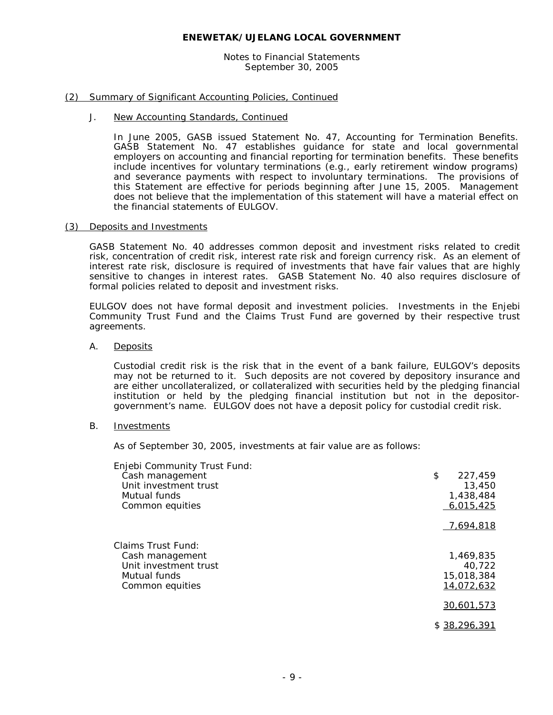Notes to Financial Statements September 30, 2005

# (2) Summary of Significant Accounting Policies, Continued

#### J. New Accounting Standards, Continued

In June 2005, GASB issued Statement No. 47, *Accounting for Termination Benefits*. GASB Statement No. 47 establishes guidance for state and local governmental employers on accounting and financial reporting for termination benefits. These benefits include incentives for voluntary terminations (e.g., early retirement window programs) and severance payments with respect to involuntary terminations. The provisions of this Statement are effective for periods beginning after June 15, 2005. Management does not believe that the implementation of this statement will have a material effect on the financial statements of EULGOV.

#### (3) Deposits and Investments

GASB Statement No. 40 addresses common deposit and investment risks related to credit risk, concentration of credit risk, interest rate risk and foreign currency risk. As an element of interest rate risk, disclosure is required of investments that have fair values that are highly sensitive to changes in interest rates. GASB Statement No. 40 also requires disclosure of formal policies related to deposit and investment risks.

EULGOV does not have formal deposit and investment policies. Investments in the Enjebi Community Trust Fund and the Claims Trust Fund are governed by their respective trust agreements.

#### A. Deposits

Custodial credit risk is the risk that in the event of a bank failure, EULGOV's deposits may not be returned to it. Such deposits are not covered by depository insurance and are either uncollateralized, or collateralized with securities held by the pledging financial institution or held by the pledging financial institution but not in the depositorgovernment's name. EULGOV does not have a deposit policy for custodial credit risk.

#### B. Investments

As of September 30, 2005, investments at fair value are as follows:

| Enjebi Community Trust Fund: |               |
|------------------------------|---------------|
| Cash management              | \$<br>227,459 |
| Unit investment trust        | 13,450        |
| Mutual funds                 | 1,438,484     |
| Common equities              | 6,015,425     |
|                              | 7,694,818     |
| Claims Trust Fund:           |               |
| Cash management              | 1,469,835     |
| Unit investment trust        | 40,722        |
| Mutual funds                 | 15,018,384    |
| Common equities              | 14,072,632    |
|                              | 30,601,573    |
|                              | \$38,296,391  |
|                              |               |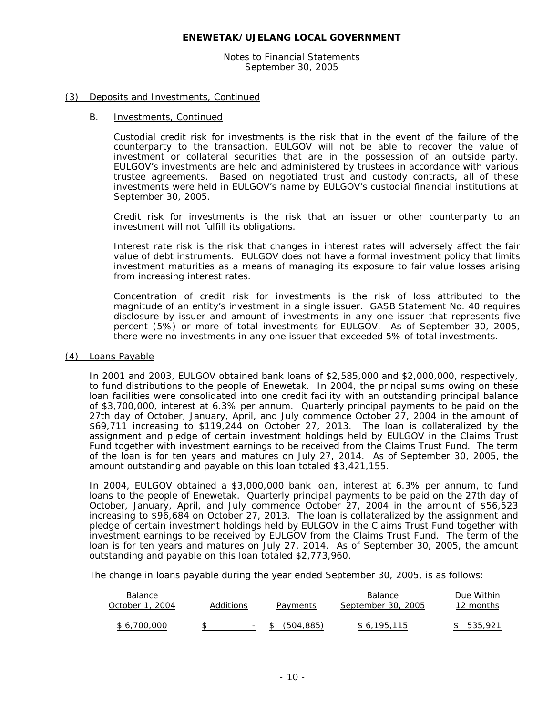Notes to Financial Statements September 30, 2005

#### (3) Deposits and Investments, Continued

#### B. Investments, Continued

Custodial credit risk for investments is the risk that in the event of the failure of the counterparty to the transaction, EULGOV will not be able to recover the value of investment or collateral securities that are in the possession of an outside party. EULGOV's investments are held and administered by trustees in accordance with various trustee agreements. Based on negotiated trust and custody contracts, all of these investments were held in EULGOV's name by EULGOV's custodial financial institutions at September 30, 2005.

Credit risk for investments is the risk that an issuer or other counterparty to an investment will not fulfill its obligations.

Interest rate risk is the risk that changes in interest rates will adversely affect the fair value of debt instruments. EULGOV does not have a formal investment policy that limits investment maturities as a means of managing its exposure to fair value losses arising from increasing interest rates.

Concentration of credit risk for investments is the risk of loss attributed to the magnitude of an entity's investment in a single issuer. GASB Statement No. 40 requires disclosure by issuer and amount of investments in any one issuer that represents five percent (5%) or more of total investments for EULGOV. As of September 30, 2005, there were no investments in any one issuer that exceeded 5% of total investments.

#### (4) Loans Payable

In 2001 and 2003, EULGOV obtained bank loans of \$2,585,000 and \$2,000,000, respectively, to fund distributions to the people of Enewetak. In 2004, the principal sums owing on these loan facilities were consolidated into one credit facility with an outstanding principal balance of \$3,700,000, interest at 6.3% per annum. Quarterly principal payments to be paid on the 27th day of October, January, April, and July commence October 27, 2004 in the amount of \$69,711 increasing to \$119,244 on October 27, 2013. The loan is collateralized by the assignment and pledge of certain investment holdings held by EULGOV in the Claims Trust Fund together with investment earnings to be received from the Claims Trust Fund. The term of the loan is for ten years and matures on July 27, 2014. As of September 30, 2005, the amount outstanding and payable on this loan totaled \$3,421,155.

In 2004, EULGOV obtained a \$3,000,000 bank loan, interest at 6.3% per annum, to fund loans to the people of Enewetak. Quarterly principal payments to be paid on the 27th day of October, January, April, and July commence October 27, 2004 in the amount of \$56,523 increasing to \$96,684 on October 27, 2013. The loan is collateralized by the assignment and pledge of certain investment holdings held by EULGOV in the Claims Trust Fund together with investment earnings to be received by EULGOV from the Claims Trust Fund. The term of the loan is for ten years and matures on July 27, 2014. As of September 30, 2005, the amount outstanding and payable on this loan totaled \$2,773,960.

The change in loans payable during the year ended September 30, 2005, is as follows:

| <b>Balance</b><br>October 1, 2004 | Additions | Payments  | <b>Balance</b><br>September 30, 2005 | Due Within<br>12 months |
|-----------------------------------|-----------|-----------|--------------------------------------|-------------------------|
| \$ 6.700.000                      | $\sim$    | (504.885) | \$6.195.115                          | 535.921                 |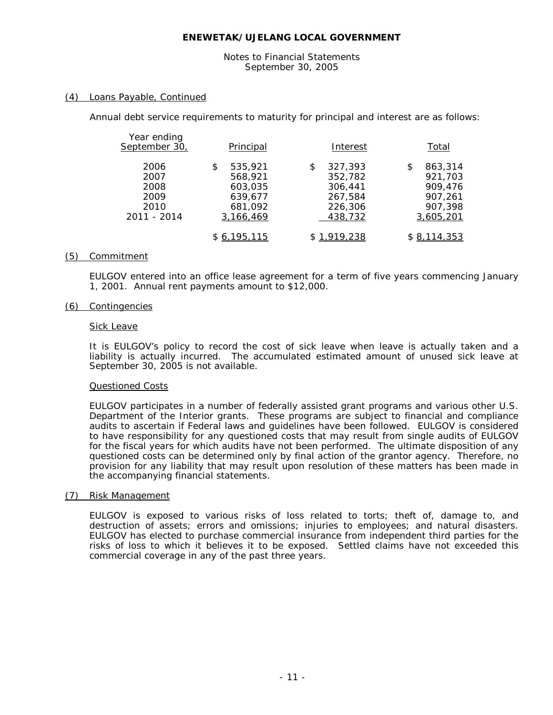#### Notes to Financial Statements September 30, 2005

# (4) Loans Payable, Continued

Annual debt service requirements to maturity for principal and interest are as follows:

| Year ending<br>September 30, | Principal     | Interest      | Total        |
|------------------------------|---------------|---------------|--------------|
| 2006                         | 535,921<br>\$ | 327,393<br>\$ | 863,314<br>S |
| 2007                         | 568,921       | 352,782       | 921,703      |
| 2008                         | 603,035       | 306,441       | 909,476      |
| 2009                         | 639,677       | 267,584       | 907,261      |
| 2010                         | 681,092       | 226,306       | 907,398      |
| 2011 - 2014                  | 3,166,469     | 438,732       | 3,605,201    |
|                              | 6,195,115     | \$1,919,238   | \$ 8,114,353 |

#### (5) Commitment

EULGOV entered into an office lease agreement for a term of five years commencing January 1, 2001. Annual rent payments amount to \$12,000.

#### (6) Contingencies

#### Sick Leave

It is EULGOV's policy to record the cost of sick leave when leave is actually taken and a liability is actually incurred. The accumulated estimated amount of unused sick leave at September 30, 2005 is not available.

# Questioned Costs

EULGOV participates in a number of federally assisted grant programs and various other U.S. Department of the Interior grants. These programs are subject to financial and compliance audits to ascertain if Federal laws and guidelines have been followed. EULGOV is considered to have responsibility for any questioned costs that may result from single audits of EULGOV for the fiscal years for which audits have not been performed. The ultimate disposition of any questioned costs can be determined only by final action of the grantor agency. Therefore, no provision for any liability that may result upon resolution of these matters has been made in the accompanying financial statements.

# (7) Risk Management

EULGOV is exposed to various risks of loss related to torts; theft of, damage to, and destruction of assets; errors and omissions; injuries to employees; and natural disasters. EULGOV has elected to purchase commercial insurance from independent third parties for the risks of loss to which it believes it to be exposed. Settled claims have not exceeded this commercial coverage in any of the past three years.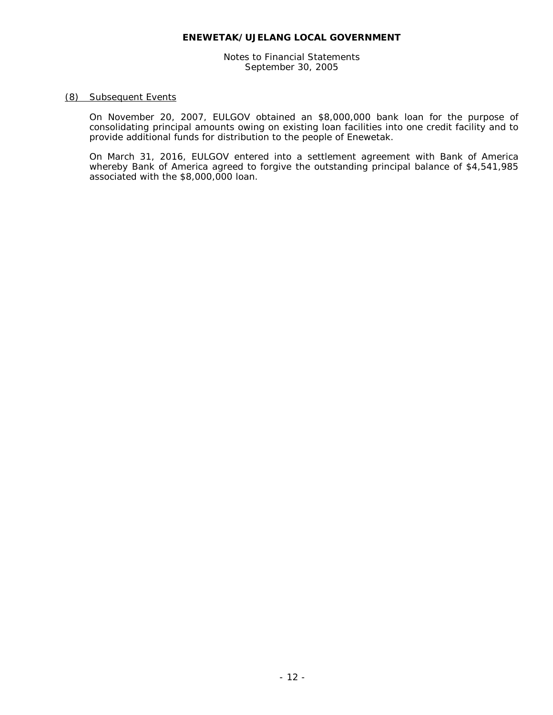Notes to Financial Statements September 30, 2005

#### (8) Subsequent Events

On November 20, 2007, EULGOV obtained an \$8,000,000 bank loan for the purpose of consolidating principal amounts owing on existing loan facilities into one credit facility and to provide additional funds for distribution to the people of Enewetak.

On March 31, 2016, EULGOV entered into a settlement agreement with Bank of America whereby Bank of America agreed to forgive the outstanding principal balance of \$4,541,985 associated with the \$8,000,000 loan.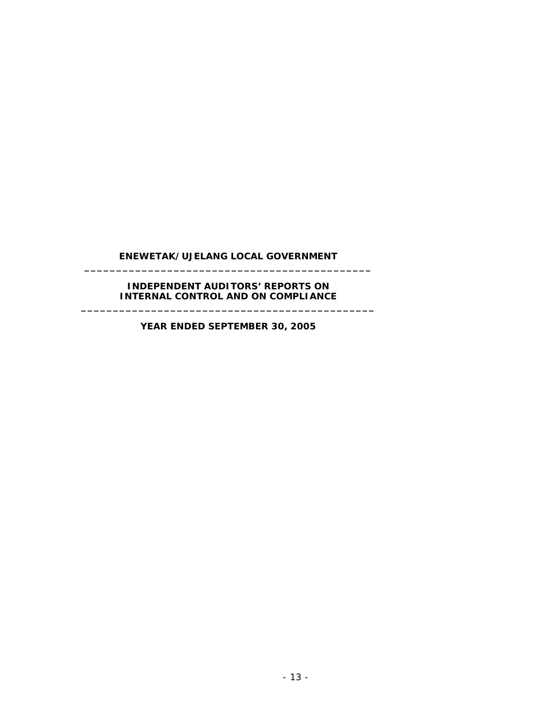# **ENEWETAK/UJELANG LOCAL GOVERNMENT \_\_\_\_\_\_\_\_\_\_\_\_\_\_\_\_\_\_\_\_\_\_\_\_\_\_\_\_\_\_\_\_\_\_\_\_\_\_\_\_\_\_\_\_\_**

#### **INDEPENDENT AUDITORS' REPORTS ON INTERNAL CONTROL AND ON COMPLIANCE \_\_\_\_\_\_\_\_\_\_\_\_\_\_\_\_\_\_\_\_\_\_\_\_\_\_\_\_\_\_\_\_\_\_\_\_\_\_\_\_\_\_\_\_\_\_**

**YEAR ENDED SEPTEMBER 30, 2005**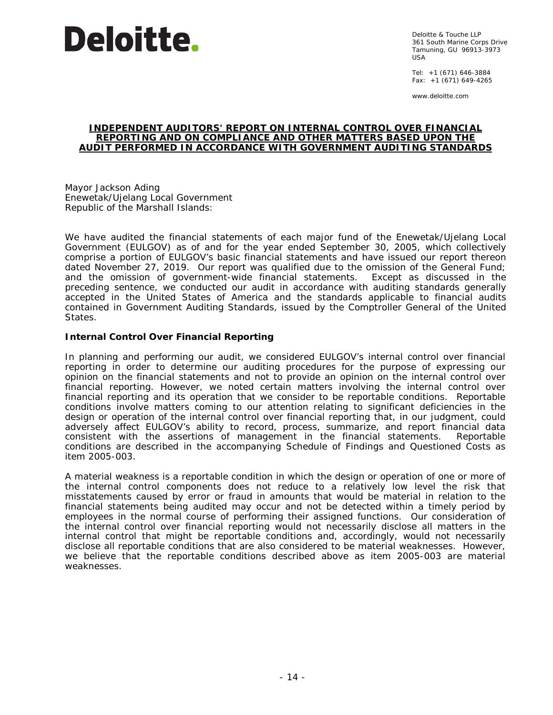

Deloitte & Touche LLP 361 South Marine Corps Drive Tamuning, GU 96913-3973 USA

Tel: +1 (671) 646-3884 Fax: +1 (671) 649-4265

www.deloitte.com

#### **INDEPENDENT AUDITORS' REPORT ON INTERNAL CONTROL OVER FINANCIAL REPORTING AND ON COMPLIANCE AND OTHER MATTERS BASED UPON THE AUDIT PERFORMED IN ACCORDANCE WITH** *GOVERNMENT AUDITING STANDARDS*

Mayor Jackson Ading Enewetak/Ujelang Local Government Republic of the Marshall Islands:

We have audited the financial statements of each major fund of the Enewetak/Ujelang Local Government (EULGOV) as of and for the year ended September 30, 2005, which collectively comprise a portion of EULGOV's basic financial statements and have issued our report thereon dated November 27, 2019. Our report was qualified due to the omission of the General Fund; and the omission of government-wide financial statements. Except as discussed in the preceding sentence, we conducted our audit in accordance with auditing standards generally accepted in the United States of America and the standards applicable to financial audits contained in *Government Auditing Standards*, issued by the Comptroller General of the United States.

# **Internal Control Over Financial Reporting**

In planning and performing our audit, we considered EULGOV's internal control over financial reporting in order to determine our auditing procedures for the purpose of expressing our opinion on the financial statements and not to provide an opinion on the internal control over financial reporting. However, we noted certain matters involving the internal control over financial reporting and its operation that we consider to be reportable conditions. Reportable conditions involve matters coming to our attention relating to significant deficiencies in the design or operation of the internal control over financial reporting that, in our judgment, could adversely affect EULGOV's ability to record, process, summarize, and report financial data consistent with the assertions of management in the financial statements. conditions are described in the accompanying Schedule of Findings and Questioned Costs as item 2005-003.

A material weakness is a reportable condition in which the design or operation of one or more of the internal control components does not reduce to a relatively low level the risk that misstatements caused by error or fraud in amounts that would be material in relation to the financial statements being audited may occur and not be detected within a timely period by employees in the normal course of performing their assigned functions. Our consideration of the internal control over financial reporting would not necessarily disclose all matters in the internal control that might be reportable conditions and, accordingly, would not necessarily disclose all reportable conditions that are also considered to be material weaknesses. However, we believe that the reportable conditions described above as item 2005-003 are material weaknesses.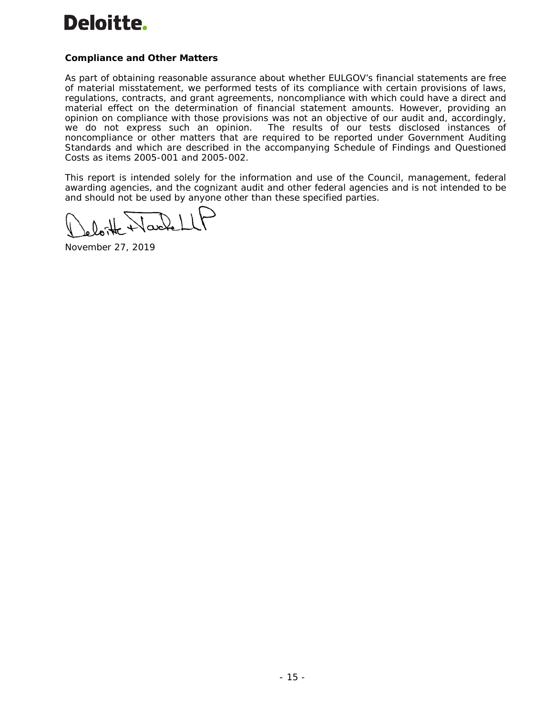

# **Compliance and Other Matters**

As part of obtaining reasonable assurance about whether EULGOV's financial statements are free of material misstatement, we performed tests of its compliance with certain provisions of laws, regulations, contracts, and grant agreements, noncompliance with which could have a direct and material effect on the determination of financial statement amounts. However, providing an opinion on compliance with those provisions was not an objective of our audit and, accordingly, we do not express such an opinion. The results of our tests disclosed instances of noncompliance or other matters that are required to be reported under *Government Auditing Standards* and which are described in the accompanying Schedule of Findings and Questioned Costs as items 2005-001 and 2005-002.

This report is intended solely for the information and use of the Council, management, federal awarding agencies, and the cognizant audit and other federal agencies and is not intended to be and should not be used by anyone other than these specified parties.

November 27, 2019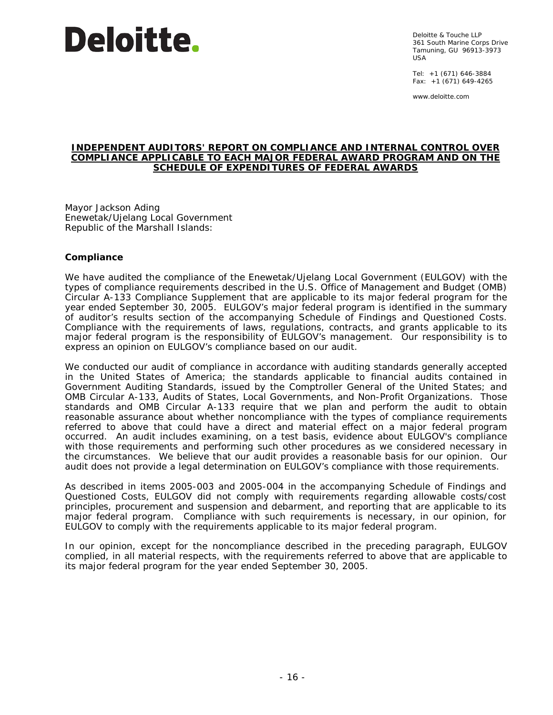# **Deloitte.**

Deloitte & Touche LLP 361 South Marine Corps Drive Tamuning, GU 96913-3973 USA

Tel: +1 (671) 646-3884 Fax:  $+1$  (671) 649-4265

www.deloitte.com

#### **INDEPENDENT AUDITORS' REPORT ON COMPLIANCE AND INTERNAL CONTROL OVER COMPLIANCE APPLICABLE TO EACH MAJOR FEDERAL AWARD PROGRAM AND ON THE SCHEDULE OF EXPENDITURES OF FEDERAL AWARDS**

Mayor Jackson Ading Enewetak/Ujelang Local Government Republic of the Marshall Islands:

# **Compliance**

We have audited the compliance of the Enewetak/Ujelang Local Government (EULGOV) with the types of compliance requirements described in the *U.S. Office of Management and Budget (OMB) Circular A-133 Compliance Supplement* that are applicable to its major federal program for the year ended September 30, 2005. EULGOV's major federal program is identified in the summary of auditor's results section of the accompanying Schedule of Findings and Questioned Costs. Compliance with the requirements of laws, regulations, contracts, and grants applicable to its major federal program is the responsibility of EULGOV's management. Our responsibility is to express an opinion on EULGOV's compliance based on our audit.

We conducted our audit of compliance in accordance with auditing standards generally accepted in the United States of America; the standards applicable to financial audits contained in *Government Auditing Standards*, issued by the Comptroller General of the United States; and OMB Circular A-133, *Audits of States, Local Governments, and Non-Profit Organizations*. Those standards and OMB Circular A-133 require that we plan and perform the audit to obtain reasonable assurance about whether noncompliance with the types of compliance requirements referred to above that could have a direct and material effect on a major federal program occurred. An audit includes examining, on a test basis, evidence about EULGOV's compliance with those requirements and performing such other procedures as we considered necessary in the circumstances. We believe that our audit provides a reasonable basis for our opinion. Our audit does not provide a legal determination on EULGOV's compliance with those requirements.

As described in items 2005-003 and 2005-004 in the accompanying Schedule of Findings and Questioned Costs, EULGOV did not comply with requirements regarding allowable costs/cost principles, procurement and suspension and debarment, and reporting that are applicable to its major federal program. Compliance with such requirements is necessary, in our opinion, for EULGOV to comply with the requirements applicable to its major federal program.

In our opinion, except for the noncompliance described in the preceding paragraph, EULGOV complied, in all material respects, with the requirements referred to above that are applicable to its major federal program for the year ended September 30, 2005.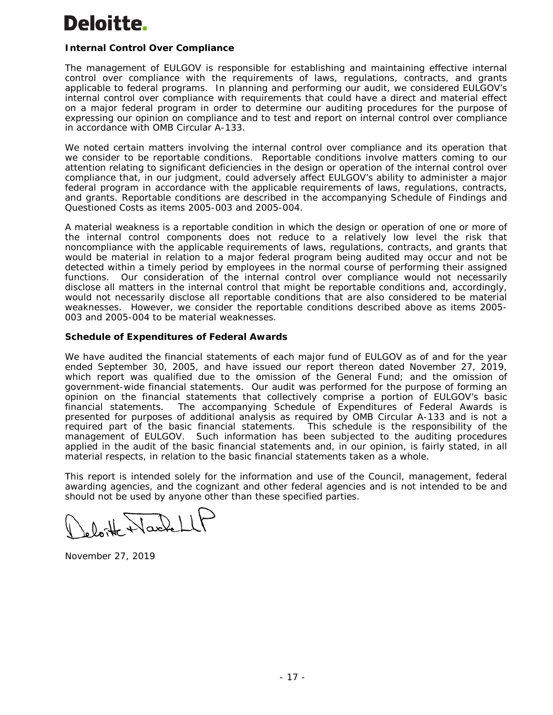# **Deloitte.**

# **Internal Control Over Compliance**

The management of EULGOV is responsible for establishing and maintaining effective internal control over compliance with the requirements of laws, regulations, contracts, and grants applicable to federal programs. In planning and performing our audit, we considered EULGOV's internal control over compliance with requirements that could have a direct and material effect on a major federal program in order to determine our auditing procedures for the purpose of expressing our opinion on compliance and to test and report on internal control over compliance in accordance with OMB Circular A-133.

We noted certain matters involving the internal control over compliance and its operation that we consider to be reportable conditions. Reportable conditions involve matters coming to our attention relating to significant deficiencies in the design or operation of the internal control over compliance that, in our judgment, could adversely affect EULGOV's ability to administer a major federal program in accordance with the applicable requirements of laws, regulations, contracts, and grants. Reportable conditions are described in the accompanying Schedule of Findings and Questioned Costs as items 2005-003 and 2005-004.

A material weakness is a reportable condition in which the design or operation of one or more of the internal control components does not reduce to a relatively low level the risk that noncompliance with the applicable requirements of laws, regulations, contracts, and grants that would be material in relation to a major federal program being audited may occur and not be detected within a timely period by employees in the normal course of performing their assigned functions. Our consideration of the internal control over compliance would not necessarily disclose all matters in the internal control that might be reportable conditions and, accordingly, would not necessarily disclose all reportable conditions that are also considered to be material weaknesses. However, we consider the reportable conditions described above as items 2005- 003 and 2005-004 to be material weaknesses.

# **Schedule of Expenditures of Federal Awards**

We have audited the financial statements of each major fund of EULGOV as of and for the year ended September 30, 2005, and have issued our report thereon dated November 27, 2019, which report was qualified due to the omission of the General Fund; and the omission of government-wide financial statements. Our audit was performed for the purpose of forming an opinion on the financial statements that collectively comprise a portion of EULGOV's basic financial statements. The accompanying Schedule of Expenditures of Federal Awards is presented for purposes of additional analysis as required by OMB Circular A-133 and is not a required part of the basic financial statements. This schedule is the responsibility of the management of EULGOV. Such information has been subjected to the auditing procedures applied in the audit of the basic financial statements and, in our opinion, is fairly stated, in all material respects, in relation to the basic financial statements taken as a whole.

This report is intended solely for the information and use of the Council, management, federal awarding agencies, and the cognizant and other federal agencies and is not intended to be and should not be used by anyone other than these specified parties.

Jack

November 27, 2019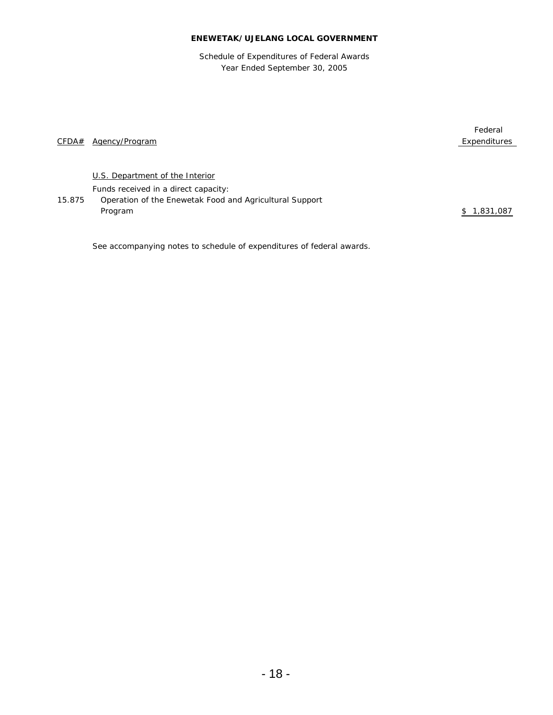Schedule of Expenditures of Federal Awards Year Ended September 30, 2005

|                   |                                                                       | Federal      |
|-------------------|-----------------------------------------------------------------------|--------------|
| $\mathsf{CFDA}\#$ | Agency/Program                                                        | Expenditures |
|                   |                                                                       |              |
|                   | U.S. Department of the Interior                                       |              |
|                   | Funds received in a direct capacity:                                  |              |
| 15.875            | Operation of the Enewetak Food and Agricultural Support               |              |
|                   | Program                                                               | \$1,831,087  |
|                   |                                                                       |              |
|                   | See accompanying notes to schedule of expenditures of federal awards. |              |
|                   |                                                                       |              |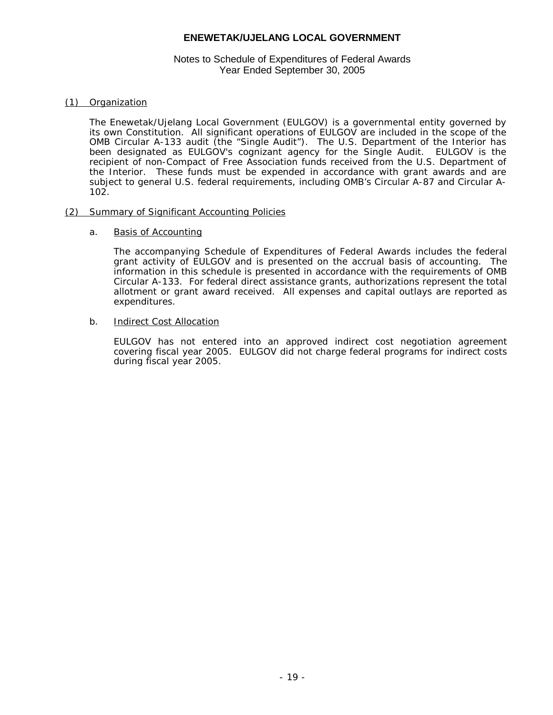# Notes to Schedule of Expenditures of Federal Awards Year Ended September 30, 2005

# (1) Organization

The Enewetak/Ujelang Local Government (EULGOV) is a governmental entity governed by its own Constitution. All significant operations of EULGOV are included in the scope of the OMB Circular A-133 audit (the "Single Audit"). The U.S. Department of the Interior has been designated as EULGOV's cognizant agency for the Single Audit. EULGOV is the recipient of non-Compact of Free Association funds received from the U.S. Department of the Interior. These funds must be expended in accordance with grant awards and are subject to general U.S. federal requirements, including OMB's Circular A-87 and Circular A-102.

# (2) Summary of Significant Accounting Policies

#### a. Basis of Accounting

The accompanying Schedule of Expenditures of Federal Awards includes the federal grant activity of EULGOV and is presented on the accrual basis of accounting. The information in this schedule is presented in accordance with the requirements of OMB Circular A-133. For federal direct assistance grants, authorizations represent the total allotment or grant award received. All expenses and capital outlays are reported as expenditures.

#### b. **Indirect Cost Allocation**

EULGOV has not entered into an approved indirect cost negotiation agreement covering fiscal year 2005. EULGOV did not charge federal programs for indirect costs during fiscal year 2005.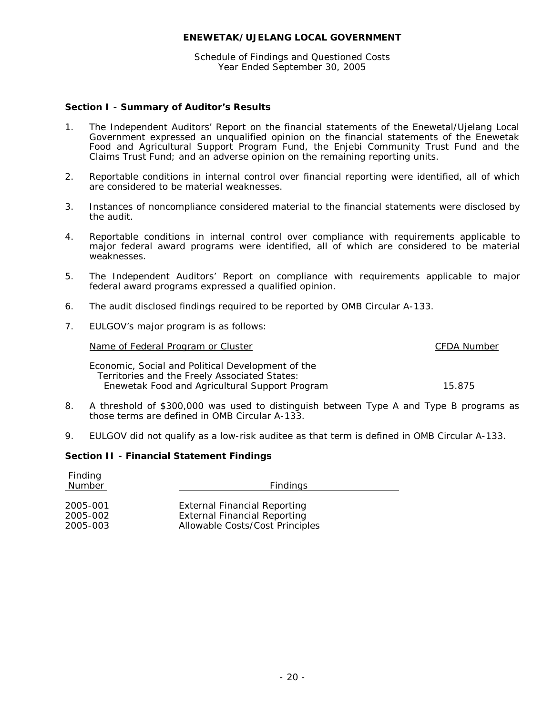Schedule of Findings and Questioned Costs Year Ended September 30, 2005

# **Section I - Summary of Auditor's Results**

- 1. The Independent Auditors' Report on the financial statements of the Enewetal/Ujelang Local Government expressed an unqualified opinion on the financial statements of the Enewetak Food and Agricultural Support Program Fund, the Enjebi Community Trust Fund and the Claims Trust Fund; and an adverse opinion on the remaining reporting units.
- 2. Reportable conditions in internal control over financial reporting were identified, all of which are considered to be material weaknesses.
- 3. Instances of noncompliance considered material to the financial statements were disclosed by the audit.
- 4. Reportable conditions in internal control over compliance with requirements applicable to major federal award programs were identified, all of which are considered to be material weaknesses.
- 5. The Independent Auditors' Report on compliance with requirements applicable to major federal award programs expressed a qualified opinion.
- 6. The audit disclosed findings required to be reported by OMB Circular A-133.
- 7. EULGOV's major program is as follows:

Name of Federal Program or Cluster CFDA Number CFDA Number Economic, Social and Political Development of the Territories and the Freely Associated States: Enewetak Food and Agricultural Support Program 15.875

- 8. A threshold of \$300,000 was used to distinguish between Type A and Type B programs as those terms are defined in OMB Circular A-133.
- 9. EULGOV did not qualify as a low-risk auditee as that term is defined in OMB Circular A-133.

# **Section II - Financial Statement Findings**

| Finding<br>Number                | <b>Findings</b>                                                                                               |  |
|----------------------------------|---------------------------------------------------------------------------------------------------------------|--|
| 2005-001<br>2005-002<br>2005-003 | <b>External Financial Reporting</b><br><b>External Financial Reporting</b><br>Allowable Costs/Cost Principles |  |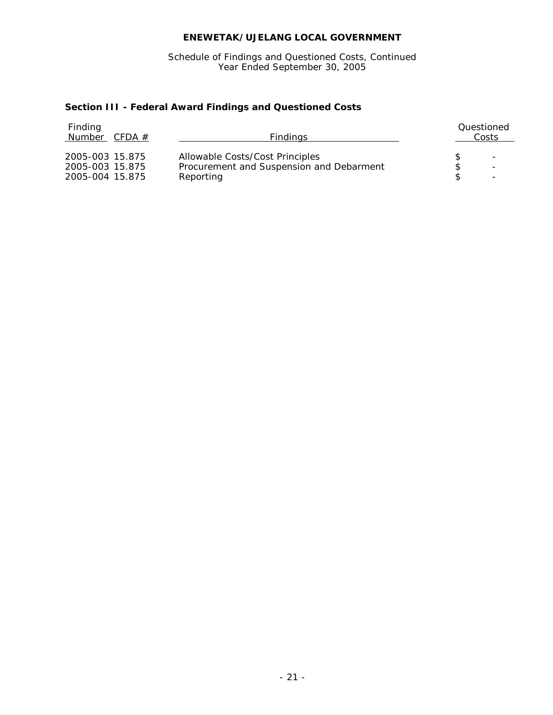Schedule of Findings and Questioned Costs, Continued Year Ended September 30, 2005

# **Section III - Federal Award Findings and Questioned Costs**

| Finding<br>Number | CFDA $#$ | <b>Findings</b>                          | Questioned<br>Costs |                          |
|-------------------|----------|------------------------------------------|---------------------|--------------------------|
| 2005-003 15.875   |          | Allowable Costs/Cost Principles          |                     | $\overline{\phantom{a}}$ |
| 2005-003 15.875   |          | Procurement and Suspension and Debarment |                     | $\qquad \qquad$          |
| 2005-004 15.875   |          | Reporting                                |                     | -                        |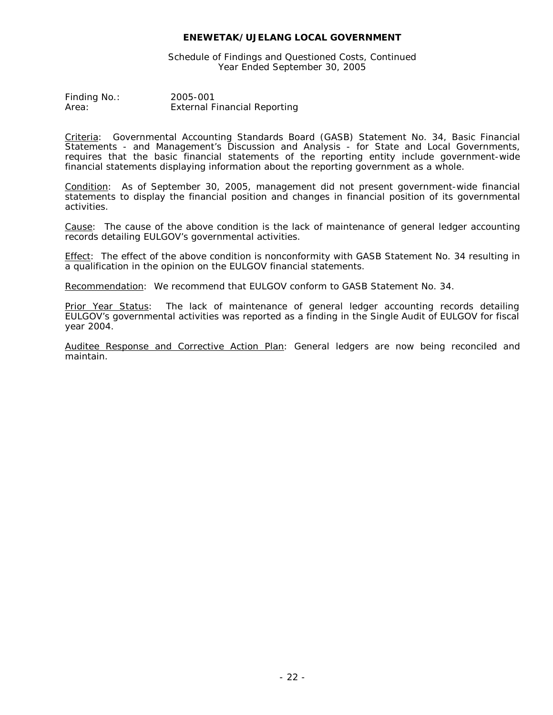Schedule of Findings and Questioned Costs, Continued Year Ended September 30, 2005

Finding No.: 2005-001 Area: External Financial Reporting

Criteria: Governmental Accounting Standards Board (GASB) Statement No. 34, *Basic Financial Statements - and Management's Discussion and Analysis - for State and Local Governments*, requires that the basic financial statements of the reporting entity include government-wide financial statements displaying information about the reporting government as a whole.

Condition: As of September 30, 2005, management did not present government-wide financial statements to display the financial position and changes in financial position of its governmental activities.

Cause: The cause of the above condition is the lack of maintenance of general ledger accounting records detailing EULGOV's governmental activities.

Effect: The effect of the above condition is nonconformity with GASB Statement No. 34 resulting in a qualification in the opinion on the EULGOV financial statements.

Recommendation: We recommend that EULGOV conform to GASB Statement No. 34.

Prior Year Status: The lack of maintenance of general ledger accounting records detailing EULGOV's governmental activities was reported as a finding in the Single Audit of EULGOV for fiscal year 2004.

Auditee Response and Corrective Action Plan: General ledgers are now being reconciled and maintain.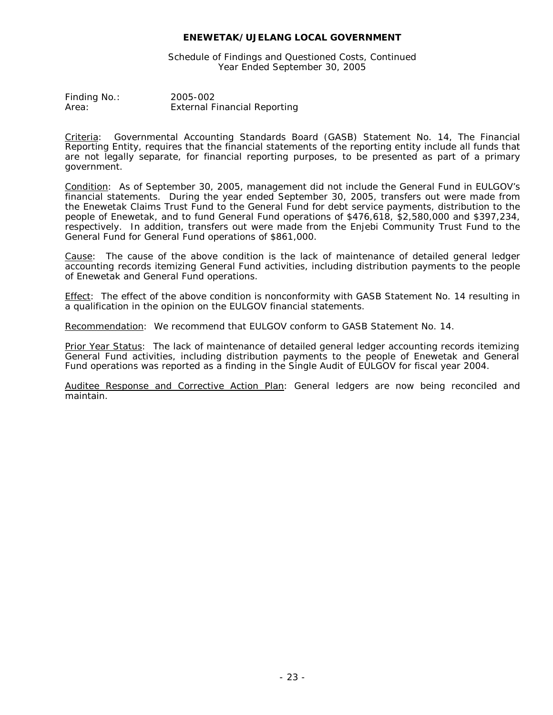Schedule of Findings and Questioned Costs, Continued Year Ended September 30, 2005

Finding No.: 2005-002 Area: External Financial Reporting

Criteria: Governmental Accounting Standards Board (GASB) Statement No. 14, *The Financial Reporting Entity*, requires that the financial statements of the reporting entity include all funds that are not legally separate, for financial reporting purposes, to be presented as part of a primary government.

Condition: As of September 30, 2005, management did not include the General Fund in EULGOV's financial statements. During the year ended September 30, 2005, transfers out were made from the Enewetak Claims Trust Fund to the General Fund for debt service payments, distribution to the people of Enewetak, and to fund General Fund operations of \$476,618, \$2,580,000 and \$397,234, respectively. In addition, transfers out were made from the Enjebi Community Trust Fund to the General Fund for General Fund operations of \$861,000.

Cause: The cause of the above condition is the lack of maintenance of detailed general ledger accounting records itemizing General Fund activities, including distribution payments to the people of Enewetak and General Fund operations.

Effect: The effect of the above condition is nonconformity with GASB Statement No. 14 resulting in a qualification in the opinion on the EULGOV financial statements.

Recommendation: We recommend that EULGOV conform to GASB Statement No. 14.

Prior Year Status: The lack of maintenance of detailed general ledger accounting records itemizing General Fund activities, including distribution payments to the people of Enewetak and General Fund operations was reported as a finding in the Single Audit of EULGOV for fiscal year 2004.

Auditee Response and Corrective Action Plan: General ledgers are now being reconciled and maintain.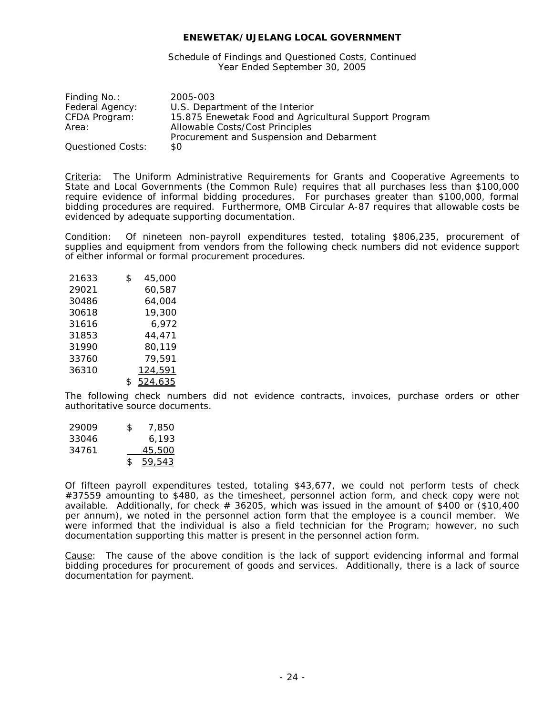Schedule of Findings and Questioned Costs, Continued Year Ended September 30, 2005

| Finding No.:      | 2005-003                                              |
|-------------------|-------------------------------------------------------|
| Federal Agency:   | U.S. Department of the Interior                       |
| CFDA Program:     | 15.875 Enewetak Food and Agricultural Support Program |
| Area:             | Allowable Costs/Cost Principles                       |
|                   | Procurement and Suspension and Debarment              |
| Questioned Costs: | \$0                                                   |

Criteria: The *Uniform Administrative Requirements for Grants and Cooperative Agreements to State and Local Governments* (the Common Rule) requires that all purchases less than \$100,000 require evidence of informal bidding procedures. For purchases greater than \$100,000, formal bidding procedures are required. Furthermore, OMB Circular A-87 requires that allowable costs be evidenced by adequate supporting documentation.

Condition: Of nineteen non-payroll expenditures tested, totaling \$806,235, procurement of supplies and equipment from vendors from the following check numbers did not evidence support of either informal or formal procurement procedures.

| 21633 | \$ | 45,000  |
|-------|----|---------|
| 29021 |    | 60,587  |
| 30486 |    | 64.004  |
| 30618 |    | 19,300  |
| 31616 |    | 6,972   |
| 31853 |    | 44,471  |
| 31990 |    | 80,119  |
| 33760 |    | 79,591  |
| 36310 |    | 124,591 |
|       | S. | 524,635 |

The following check numbers did not evidence contracts, invoices, purchase orders or other authoritative source documents.

| 29009 | \$  | 7,850  |
|-------|-----|--------|
| 33046 |     | 6,193  |
| 34761 |     | 45,500 |
|       | \$. | 59,543 |

Of fifteen payroll expenditures tested, totaling \$43,677, we could not perform tests of check #37559 amounting to \$480, as the timesheet, personnel action form, and check copy were not available. Additionally, for check  $#$  36205, which was issued in the amount of \$400 or (\$10,400 per annum), we noted in the personnel action form that the employee is a council member. We were informed that the individual is also a field technician for the Program; however, no such documentation supporting this matter is present in the personnel action form.

Cause: The cause of the above condition is the lack of support evidencing informal and formal bidding procedures for procurement of goods and services. Additionally, there is a lack of source documentation for payment.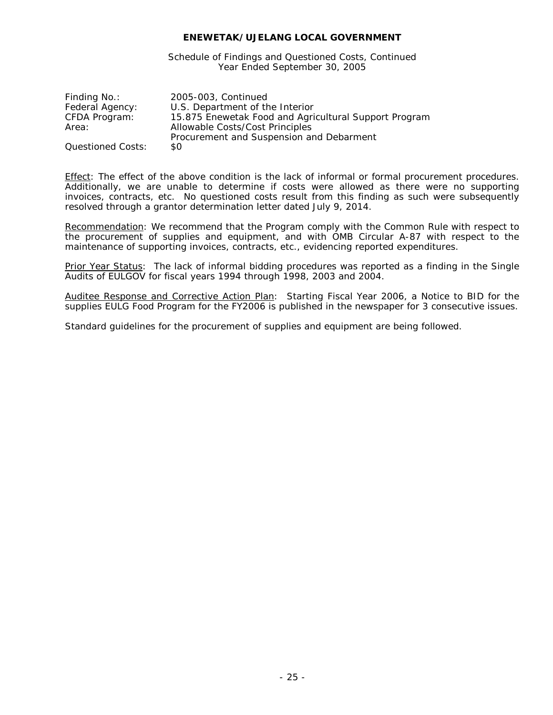Schedule of Findings and Questioned Costs, Continued Year Ended September 30, 2005

| Finding No.:      | 2005-003, Continued                                   |  |  |
|-------------------|-------------------------------------------------------|--|--|
| Federal Agency:   | U.S. Department of the Interior                       |  |  |
| CFDA Program:     | 15.875 Enewetak Food and Agricultural Support Program |  |  |
| Area:             | Allowable Costs/Cost Principles                       |  |  |
|                   | Procurement and Suspension and Debarment              |  |  |
| Questioned Costs: | \$0                                                   |  |  |

Effect: The effect of the above condition is the lack of informal or formal procurement procedures. Additionally, we are unable to determine if costs were allowed as there were no supporting invoices, contracts, etc. No questioned costs result from this finding as such were subsequently resolved through a grantor determination letter dated July 9, 2014.

Recommendation: We recommend that the Program comply with the Common Rule with respect to the procurement of supplies and equipment, and with OMB Circular A-87 with respect to the maintenance of supporting invoices, contracts, etc., evidencing reported expenditures.

Prior Year Status: The lack of informal bidding procedures was reported as a finding in the Single Audits of EULGOV for fiscal years 1994 through 1998, 2003 and 2004.

Auditee Response and Corrective Action Plan: Starting Fiscal Year 2006, a Notice to BID for the supplies EULG Food Program for the FY2006 is published in the newspaper for 3 consecutive issues.

Standard guidelines for the procurement of supplies and equipment are being followed.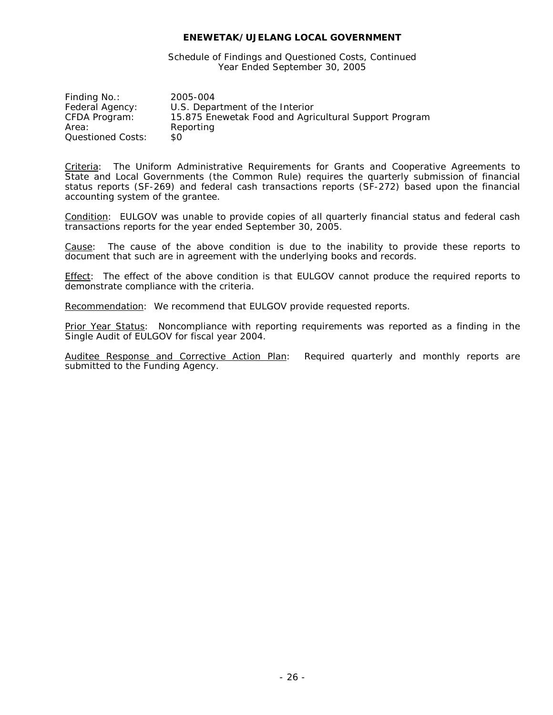Schedule of Findings and Questioned Costs, Continued Year Ended September 30, 2005

Finding No.: 2005-004 Federal Agency: U.S. Department of the Interior CFDA Program: 15.875 Enewetak Food and Agricultural Support Program Area: Reporting Questioned Costs: \$0

Criteria: The *Uniform Administrative Requirements for Grants and Cooperative Agreements to State and Local Governments* (the Common Rule) requires the quarterly submission of financial status reports (SF-269) and federal cash transactions reports (SF-272) based upon the financial accounting system of the grantee.

Condition: EULGOV was unable to provide copies of all quarterly financial status and federal cash transactions reports for the year ended September 30, 2005.

Cause: The cause of the above condition is due to the inability to provide these reports to document that such are in agreement with the underlying books and records.

Effect: The effect of the above condition is that EULGOV cannot produce the required reports to demonstrate compliance with the criteria.

Recommendation: We recommend that EULGOV provide requested reports.

Prior Year Status: Noncompliance with reporting requirements was reported as a finding in the Single Audit of EULGOV for fiscal year 2004.

Auditee Response and Corrective Action Plan: Required quarterly and monthly reports are submitted to the Funding Agency.